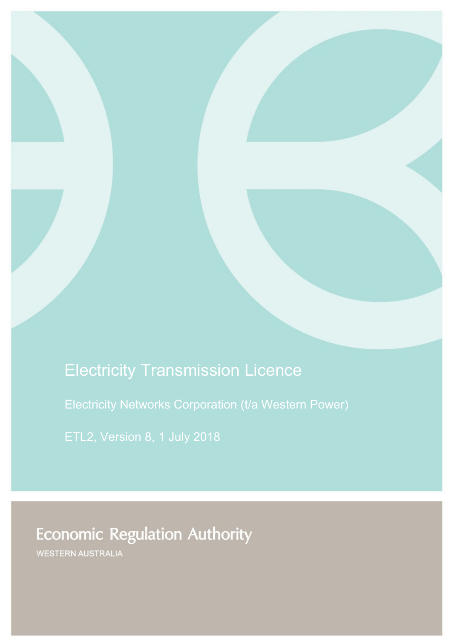# Electricity Transmission Licence

Electricity Networks Corporation (t/a Western Power)

# **Economic Regulation Authority**

WESTERN AUSTRALIA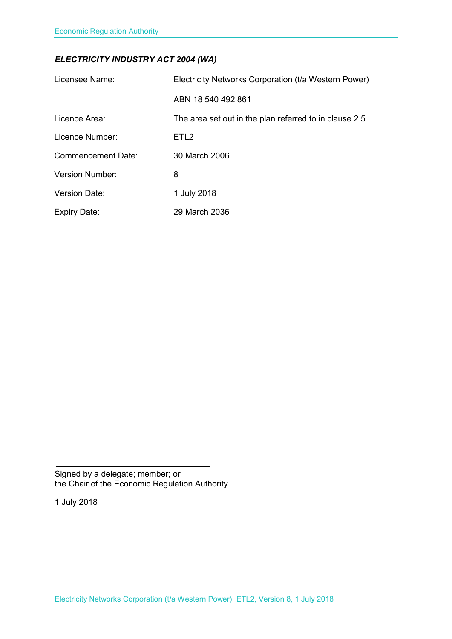### *ELECTRICITY INDUSTRY ACT 2004 (WA)*

| Licensee Name:            | Electricity Networks Corporation (t/a Western Power)    |
|---------------------------|---------------------------------------------------------|
|                           | ABN 18 540 492 861                                      |
| Licence Area:             | The area set out in the plan referred to in clause 2.5. |
| Licence Number:           | ETL <sub>2</sub>                                        |
| <b>Commencement Date:</b> | 30 March 2006                                           |
| <b>Version Number:</b>    | 8                                                       |
| <b>Version Date:</b>      | 1 July 2018                                             |
| <b>Expiry Date:</b>       | 29 March 2036                                           |

Signed by a delegate; member; or the Chair of the Economic Regulation Authority

1 July 2018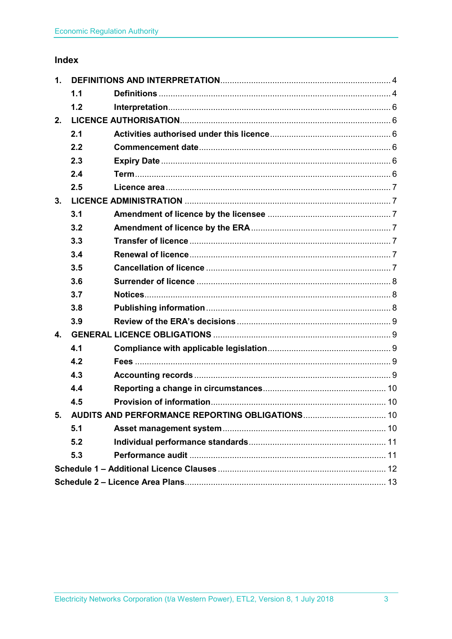## Index

| 1. |     |                                                    |  |
|----|-----|----------------------------------------------------|--|
|    | 1.1 |                                                    |  |
|    | 1.2 |                                                    |  |
| 2. |     |                                                    |  |
|    | 2.1 |                                                    |  |
|    | 2.2 |                                                    |  |
|    | 2.3 |                                                    |  |
|    | 2.4 |                                                    |  |
|    | 2.5 |                                                    |  |
| 3. |     |                                                    |  |
|    | 3.1 |                                                    |  |
|    | 3.2 |                                                    |  |
|    | 3.3 |                                                    |  |
|    | 3.4 |                                                    |  |
|    | 3.5 |                                                    |  |
|    | 3.6 |                                                    |  |
|    | 3.7 |                                                    |  |
|    | 3.8 |                                                    |  |
|    | 3.9 |                                                    |  |
| 4. |     |                                                    |  |
|    | 4.1 |                                                    |  |
|    | 4.2 |                                                    |  |
|    | 4.3 |                                                    |  |
|    | 4.4 |                                                    |  |
|    | 4.5 |                                                    |  |
|    |     | 5. AUDITS AND PERFORMANCE REPORTING OBLIGATIONS 10 |  |
|    | 5.1 |                                                    |  |
|    | 5.2 |                                                    |  |
|    | 5.3 |                                                    |  |
|    |     |                                                    |  |
|    |     |                                                    |  |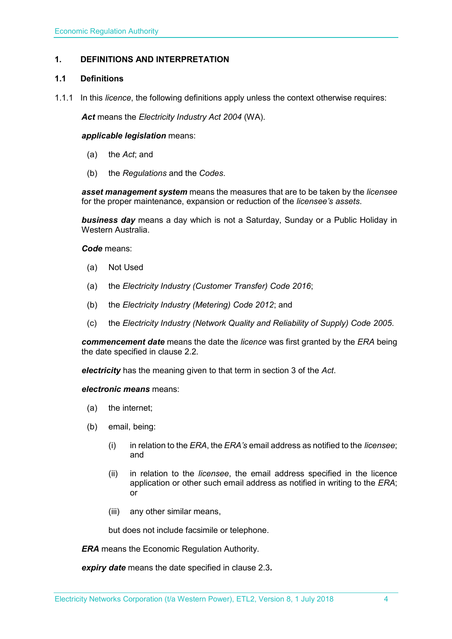#### <span id="page-3-0"></span>**1. DEFINITIONS AND INTERPRETATION**

#### <span id="page-3-1"></span>**1.1 Definitions**

1.1.1 In this *licence*, the following definitions apply unless the context otherwise requires:

*Act* means the *Electricity Industry Act 2004* (WA).

#### *applicable legislation* means:

- (a) the *Act*; and
- (b) the *Regulations* and the *Codes*.

*asset management system* means the measures that are to be taken by the *licensee* for the proper maintenance, expansion or reduction of the *licensee's assets*.

*business day* means a day which is not a Saturday, Sunday or a Public Holiday in Western Australia.

*Code* means:

- (a) Not Used
- (a) the *Electricity Industry (Customer Transfer) Code 2016*;
- (b) the *Electricity Industry (Metering) Code 2012*; and
- (c) the *Electricity Industry (Network Quality and Reliability of Supply) Code 2005*.

*commencement date* means the date the *licence* was first granted by the *ERA* being the date specified in clause 2.2.

*electricity* has the meaning given to that term in section 3 of the *Act*.

*electronic means* means:

- (a) the internet;
- (b) email, being:
	- (i) in relation to the *ERA*, the *ERA's* email address as notified to the *licensee*; and
	- (ii) in relation to the *licensee*, the email address specified in the licence application or other such email address as notified in writing to the *ERA*; or
	- (iii) any other similar means,

but does not include facsimile or telephone.

*ERA* means the Economic Regulation Authority.

*expiry date* means the date specified in clause 2.3*.*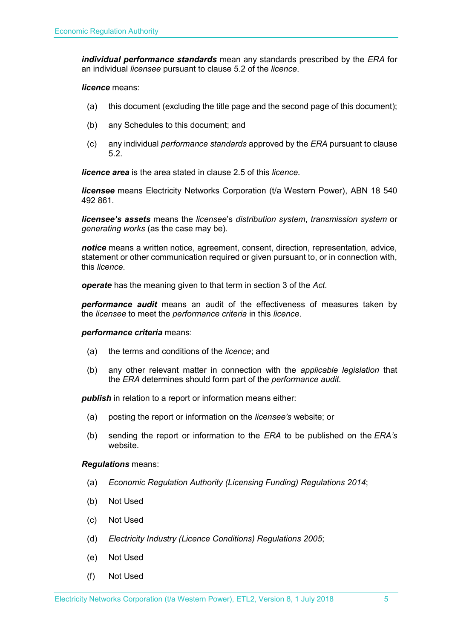*individual performance standards* mean any standards prescribed by the *ERA* for an individual *licensee* pursuant to clause 5.2 of the *licence*.

#### *licence* means:

- (a) this document (excluding the title page and the second page of this document);
- (b) any Schedules to this document; and
- (c) any individual *performance standards* approved by the *ERA* pursuant to clause 5.2.

*licence area* is the area stated in clause 2.5 of this *licence.*

*licensee* means Electricity Networks Corporation (t/a Western Power), ABN 18 540 492 861.

*licensee's assets* means the *licensee*'s *distribution system*, *transmission system* or *generating works* (as the case may be).

*notice* means a written notice, agreement, consent, direction, representation, advice, statement or other communication required or given pursuant to, or in connection with, this *licence*.

*operate* has the meaning given to that term in section 3 of the *Act*.

*performance audit* means an audit of the effectiveness of measures taken by the *licensee* to meet the *performance criteria* in this *licence*.

#### *performance criteria* means:

- (a) the terms and conditions of the *licence*; and
- (b) any other relevant matter in connection with the *applicable legislation* that the *ERA* determines should form part of the *performance audit*.

**publish** in relation to a report or information means either:

- (a) posting the report or information on the *licensee's* website; or
- (b) sending the report or information to the *ERA* to be published on the *ERA's* website.

#### *Regulations* means:

- (a) *Economic Regulation Authority (Licensing Funding) Regulations 2014*;
- (b) Not Used
- (c) Not Used
- (d) *Electricity Industry (Licence Conditions) Regulations 2005*;
- (e) Not Used
- (f) Not Used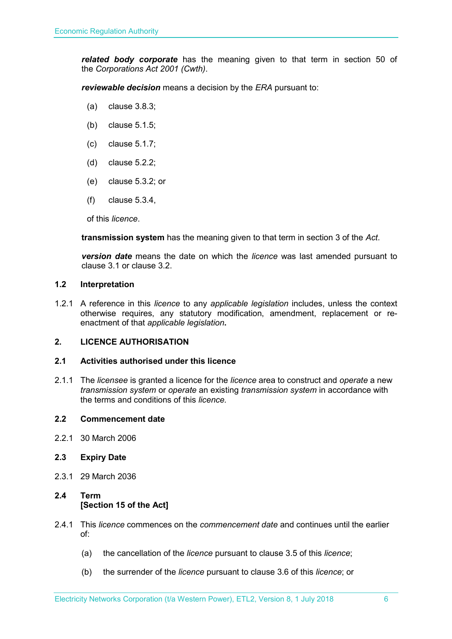*related body corporate* has the meaning given to that term in section 50 of the *Corporations Act 2001 (Cwth)*.

*reviewable decision* means a decision by the *ERA* pursuant to:

- (a) clause 3.8.3;
- (b) clause 5.1.5;
- (c) clause 5.1.7;
- (d) clause 5.2.2;
- (e) clause 5.3.2; or
- (f) clause 5.3.4,

of this *licence*.

**transmission system** has the meaning given to that term in section 3 of the *Act*.

*version date* means the date on which the *licence* was last amended pursuant to clause 3.1 or clause 3.2.

#### <span id="page-5-0"></span>**1.2 Interpretation**

1.2.1 A reference in this *licence* to any *applicable legislation* includes, unless the context otherwise requires, any statutory modification, amendment, replacement or reenactment of that *applicable legislation***.**

#### <span id="page-5-1"></span>**2. LICENCE AUTHORISATION**

#### <span id="page-5-2"></span>**2.1 Activities authorised under this licence**

2.1.1 The *licensee* is granted a licence for the *licence* area to construct and *operate* a new *transmission system* or *operate* an existing *transmission system* in accordance with the terms and conditions of this *licence.* 

#### <span id="page-5-3"></span>**2.2 Commencement date**

2.2.1 30 March 2006

#### <span id="page-5-4"></span>**2.3 Expiry Date**

2.3.1 29 March 2036

#### <span id="page-5-5"></span>**2.4 Term [Section 15 of the Act]**

- 2.4.1 This *licence* commences on the *commencement date* and continues until the earlier of:
	- (a) the cancellation of the *licence* pursuant to clause 3.5 of this *licence*;
	- (b) the surrender of the *licence* pursuant to clause 3.6 of this *licence*; or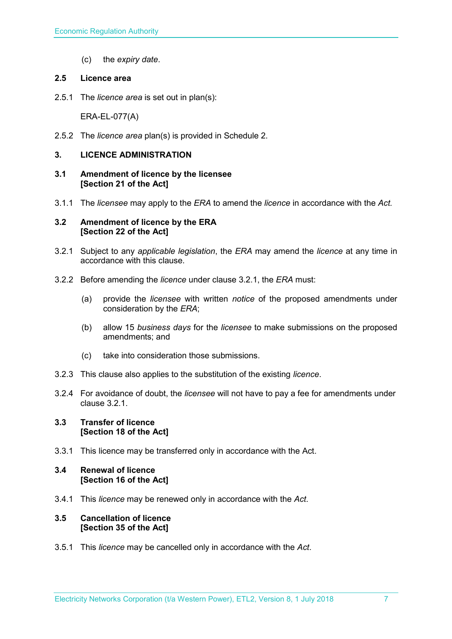(c) the *expiry date*.

#### <span id="page-6-0"></span>**2.5 Licence area**

2.5.1 The *licence area* is set out in plan(s):

ERA-EL-077(A)

2.5.2 The *licence area* plan(s) is provided in Schedule 2.

#### <span id="page-6-1"></span>**3. LICENCE ADMINISTRATION**

- <span id="page-6-2"></span>**3.1 Amendment of licence by the licensee [Section 21 of the Act]**
- 3.1.1 The *licensee* may apply to the *ERA* to amend the *licence* in accordance with the *Act.*

#### <span id="page-6-3"></span>**3.2 Amendment of licence by the ERA [Section 22 of the Act]**

- 3.2.1 Subject to any *applicable legislation*, the *ERA* may amend the *licence* at any time in accordance with this clause.
- 3.2.2 Before amending the *licence* under clause 3.2.1, the *ERA* must:
	- (a) provide the *licensee* with written *notice* of the proposed amendments under consideration by the *ERA*;
	- (b) allow 15 *business days* for the *licensee* to make submissions on the proposed amendments; and
	- (c) take into consideration those submissions.
- 3.2.3 This clause also applies to the substitution of the existing *licence*.
- 3.2.4 For avoidance of doubt, the *licensee* will not have to pay a fee for amendments under clause 3.2.1.

#### <span id="page-6-4"></span>**3.3 Transfer of licence [Section 18 of the Act]**

3.3.1 This licence may be transferred only in accordance with the Act.

#### <span id="page-6-5"></span>**3.4 Renewal of licence [Section 16 of the Act]**

3.4.1 This *licence* may be renewed only in accordance with the *Act*.

#### <span id="page-6-6"></span>**3.5 Cancellation of licence [Section 35 of the Act]**

3.5.1 This *licence* may be cancelled only in accordance with the *Act*.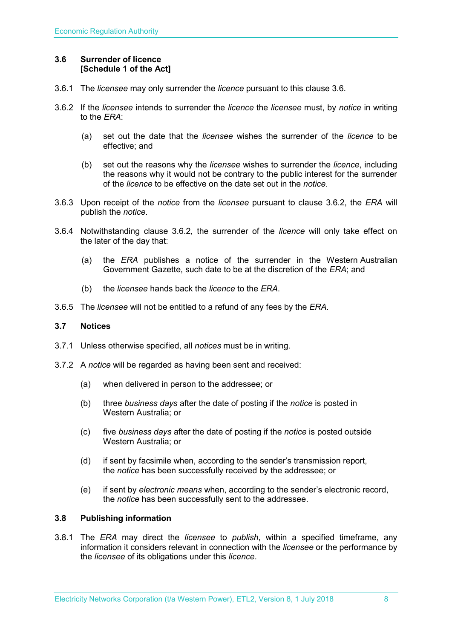#### <span id="page-7-0"></span>**3.6 Surrender of licence [Schedule 1 of the Act]**

- 3.6.1 The *licensee* may only surrender the *licence* pursuant to this clause 3.6.
- 3.6.2 If the *licensee* intends to surrender the *licence* the *licensee* must, by *notice* in writing to the *ERA*:
	- (a) set out the date that the *licensee* wishes the surrender of the *licence* to be effective; and
	- (b) set out the reasons why the *licensee* wishes to surrender the *licence*, including the reasons why it would not be contrary to the public interest for the surrender of the *licence* to be effective on the date set out in the *notice*.
- 3.6.3 Upon receipt of the *notice* from the *licensee* pursuant to clause 3.6.2, the *ERA* will publish the *notice*.
- 3.6.4 Notwithstanding clause 3.6.2, the surrender of the *licence* will only take effect on the later of the day that:
	- (a) the *ERA* publishes a notice of the surrender in the Western Australian Government Gazette, such date to be at the discretion of the *ERA*; and
	- (b) the *licensee* hands back the *licence* to the *ERA*.
- 3.6.5 The *licensee* will not be entitled to a refund of any fees by the *ERA*.

#### <span id="page-7-1"></span>**3.7 Notices**

- 3.7.1 Unless otherwise specified, all *notices* must be in writing.
- 3.7.2 A *notice* will be regarded as having been sent and received:
	- (a) when delivered in person to the addressee; or
	- (b) three *business days* after the date of posting if the *notice* is posted in Western Australia; or
	- (c) five *business days* after the date of posting if the *notice* is posted outside Western Australia; or
	- (d) if sent by facsimile when, according to the sender's transmission report, the *notice* has been successfully received by the addressee; or
	- (e) if sent by *electronic means* when, according to the sender's electronic record, the *notice* has been successfully sent to the addressee.

#### <span id="page-7-2"></span>**3.8 Publishing information**

3.8.1 The *ERA* may direct the *licensee* to *publish*, within a specified timeframe, any information it considers relevant in connection with the *licensee* or the performance by the *licensee* of its obligations under this *licence*.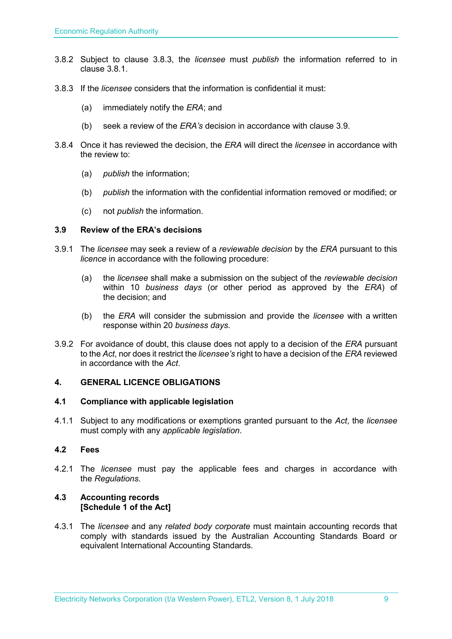- 3.8.2 Subject to clause 3.8.3, the *licensee* must *publish* the information referred to in clause 3.8.1.
- 3.8.3 If the *licensee* considers that the information is confidential it must:
	- (a) immediately notify the *ERA*; and
	- (b) seek a review of the *ERA's* decision in accordance with clause 3.9.
- 3.8.4 Once it has reviewed the decision, the *ERA* will direct the *licensee* in accordance with the review to:
	- (a) *publish* the information;
	- (b) *publish* the information with the confidential information removed or modified; or
	- (c) not *publish* the information.

#### <span id="page-8-0"></span>**3.9 Review of the ERA's decisions**

- 3.9.1 The *licensee* may seek a review of a *reviewable decision* by the *ERA* pursuant to this *licence* in accordance with the following procedure:
	- (a) the *licensee* shall make a submission on the subject of the *reviewable decision* within 10 *business days* (or other period as approved by the *ERA*) of the decision; and
	- (b) the *ERA* will consider the submission and provide the *licensee* with a written response within 20 *business days*.
- 3.9.2 For avoidance of doubt, this clause does not apply to a decision of the *ERA* pursuant to the *Act*, nor does it restrict the *licensee's* right to have a decision of the *ERA* reviewed in accordance with the *Act*.

#### <span id="page-8-1"></span>**4. GENERAL LICENCE OBLIGATIONS**

#### <span id="page-8-2"></span>**4.1 Compliance with applicable legislation**

4.1.1 Subject to any modifications or exemptions granted pursuant to the *Act*, the *licensee* must comply with any *applicable legislation*.

#### <span id="page-8-3"></span>**4.2 Fees**

4.2.1 The *licensee* must pay the applicable fees and charges in accordance with the *Regulations*.

#### <span id="page-8-4"></span>**4.3 Accounting records [Schedule 1 of the Act]**

4.3.1 The *licensee* and any *related body corporate* must maintain accounting records that comply with standards issued by the Australian Accounting Standards Board or equivalent International Accounting Standards.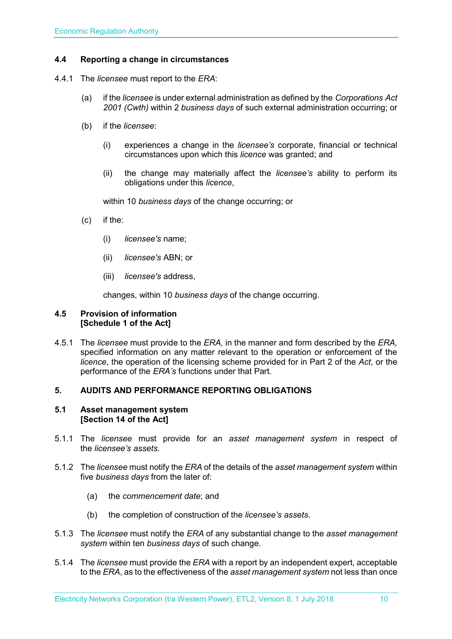#### <span id="page-9-0"></span>**4.4 Reporting a change in circumstances**

- 4.4.1 The *licensee* must report to the *ERA*:
	- (a) if the *licensee* is under external administration as defined by the *Corporations Act 2001 (Cwth)* within 2 *business days* of such external administration occurring; or
	- (b) if the *licensee*:
		- (i) experiences a change in the *licensee's* corporate, financial or technical circumstances upon which this *licence* was granted; and
		- (ii) the change may materially affect the *licensee's* ability to perform its obligations under this *licence*,

within 10 *business days* of the change occurring; or

- (c) if the:
	- (i) *licensee's* name;
	- (ii) *licensee's* ABN; or
	- (iii) *licensee's* address,

changes, within 10 *business days* of the change occurring.

#### <span id="page-9-1"></span>**4.5 Provision of information [Schedule 1 of the Act]**

4.5.1 The *licensee* must provide to the *ERA,* in the manner and form described by the *ERA,*  specified information on any matter relevant to the operation or enforcement of the *licence*, the operation of the licensing scheme provided for in Part 2 of the *Act*, or the performance of the *ERA's* functions under that Part.

#### <span id="page-9-2"></span>**5. AUDITS AND PERFORMANCE REPORTING OBLIGATIONS**

#### <span id="page-9-3"></span>**5.1 Asset management system [Section 14 of the Act]**

- 5.1.1 The *licensee* must provide for an *asset management system* in respect of the *licensee's assets*.
- 5.1.2 The *licensee* must notify the *ERA* of the details of the *asset management system* within five *business days* from the later of:
	- (a) the *commencement date*; and
	- (b) the completion of construction of the *licensee's assets*.
- 5.1.3 The *licensee* must notify the *ERA* of any substantial change to the *asset management system* within ten *business days* of such change.
- 5.1.4 The *licensee* must provide the *ERA* with a report by an independent expert, acceptable to the *ERA*, as to the effectiveness of the *asset management system* not less than once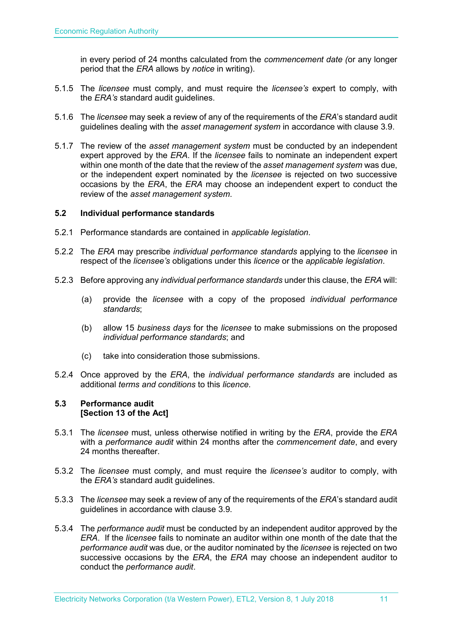in every period of 24 months calculated from the *commencement date (*or any longer period that the *ERA* allows by *notice* in writing).

- 5.1.5 The *licensee* must comply, and must require the *licensee's* expert to comply, with the *ERA's* standard audit guidelines.
- 5.1.6 The *licensee* may seek a review of any of the requirements of the *ERA*'s standard audit guidelines dealing with the *asset management system* in accordance with clause 3.9.
- 5.1.7 The review of the *asset management system* must be conducted by an independent expert approved by the *ERA*. If the *licensee* fails to nominate an independent expert within one month of the date that the review of the *asset management system* was due, or the independent expert nominated by the *licensee* is rejected on two successive occasions by the *ERA*, the *ERA* may choose an independent expert to conduct the review of the *asset management system*.

#### <span id="page-10-0"></span>**5.2 Individual performance standards**

- 5.2.1 Performance standards are contained in *applicable legislation*.
- 5.2.2 The *ERA* may prescribe *individual performance standards* applying to the *licensee* in respect of the *licensee's* obligations under this *licence* or the *applicable legislation*.
- 5.2.3 Before approving any *individual performance standards* under this clause, the *ERA* will:
	- (a) provide the *licensee* with a copy of the proposed *individual performance standards*;
	- (b) allow 15 *business days* for the *licensee* to make submissions on the proposed *individual performance standards*; and
	- (c) take into consideration those submissions.
- 5.2.4 Once approved by the *ERA*, the *individual performance standards* are included as additional *terms and conditions* to this *licence*.

#### <span id="page-10-1"></span>**5.3 Performance audit [Section 13 of the Act]**

- 5.3.1 The *licensee* must, unless otherwise notified in writing by the *ERA*, provide the *ERA* with a *performance audit* within 24 months after the *commencement date*, and every 24 months thereafter.
- 5.3.2 The *licensee* must comply, and must require the *licensee's* auditor to comply, with the *ERA's* standard audit guidelines.
- 5.3.3 The *licensee* may seek a review of any of the requirements of the *ERA*'s standard audit guidelines in accordance with clause 3.9.
- 5.3.4 The *performance audit* must be conducted by an independent auditor approved by the *ERA*. If the *licensee* fails to nominate an auditor within one month of the date that the *performance audit* was due, or the auditor nominated by the *licensee* is rejected on two successive occasions by the *ERA*, the *ERA* may choose an independent auditor to conduct the *performance audit*.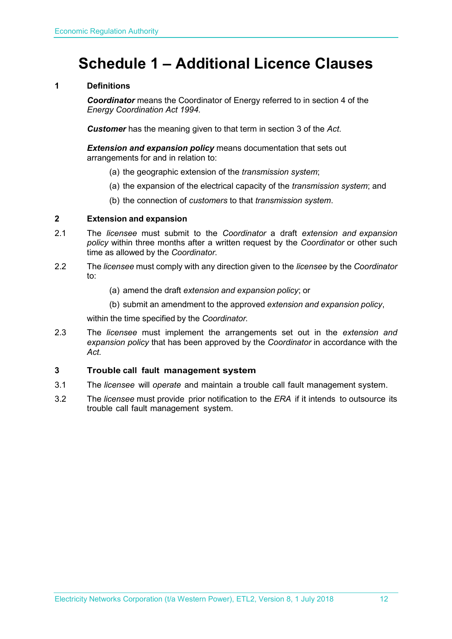## <span id="page-11-0"></span>**Schedule 1 – Additional Licence Clauses**

#### **1 Definitions**

*Coordinator* means the Coordinator of Energy referred to in section 4 of the *Energy Coordination Act 1994.*

*Customer* has the meaning given to that term in section 3 of the *Act*.

*Extension and expansion policy* means documentation that sets out arrangements for and in relation to:

- (a) the geographic extension of the *transmission system*;
- (a) the expansion of the electrical capacity of the *transmission system*; and
- (b) the connection of *customers* to that *transmission system*.

#### **2 Extension and expansion**

- 2.1 The *licensee* must submit to the *Coordinator* a draft *extension and expansion policy* within three months after a written request by the *Coordinator* or other such time as allowed by the *Coordinator*.
- 2.2 The *licensee* must comply with any direction given to the *licensee* by the *Coordinator* to:
	- (a) amend the draft *extension and expansion policy*; or
	- (b) submit an amendment to the approved *extension and expansion policy*,

within the time specified by the *Coordinator.*

2.3 The *licensee* must implement the arrangements set out in the *extension and expansion policy* that has been approved by the *Coordinator* in accordance with the *Act.*

#### **3 Trouble call fault management system**

- 3.1 The *licensee* will *operate* and maintain a trouble call fault management system.
- 3.2 The *licensee* must provide prior notification to the *ERA* if it intends to outsource its trouble call fault management system.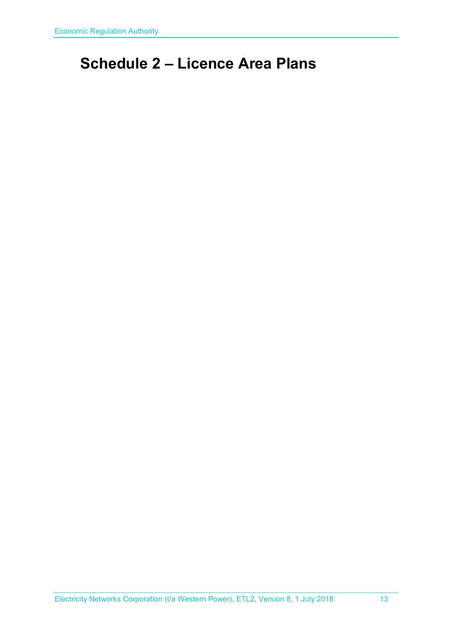## <span id="page-12-0"></span>**Schedule 2 – Licence Area Plans**